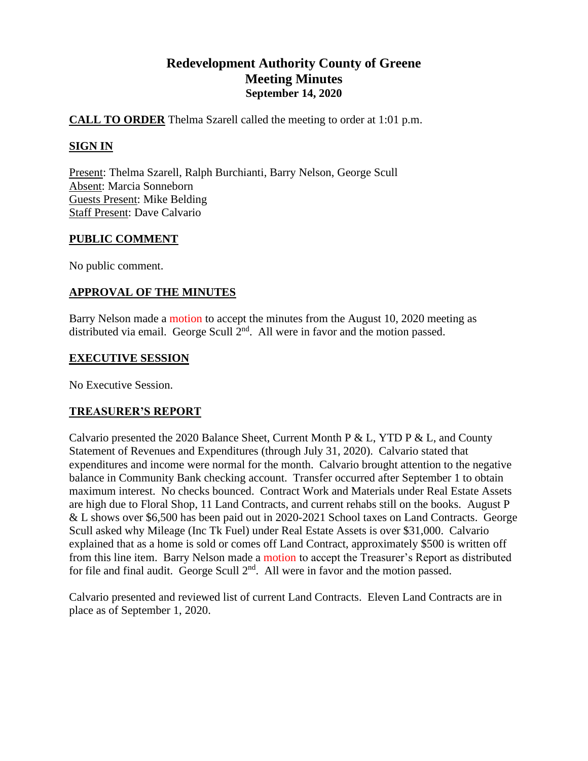# **Redevelopment Authority County of Greene Meeting Minutes September 14, 2020**

# **CALL TO ORDER** Thelma Szarell called the meeting to order at 1:01 p.m.

# **SIGN IN**

Present: Thelma Szarell, Ralph Burchianti, Barry Nelson, George Scull Absent: Marcia Sonneborn Guests Present: Mike Belding Staff Present: Dave Calvario

# **PUBLIC COMMENT**

No public comment.

# **APPROVAL OF THE MINUTES**

Barry Nelson made a motion to accept the minutes from the August 10, 2020 meeting as distributed via email. George Scull  $2<sup>nd</sup>$ . All were in favor and the motion passed.

### **EXECUTIVE SESSION**

No Executive Session.

# **TREASURER'S REPORT**

Calvario presented the 2020 Balance Sheet, Current Month P & L, YTD P & L, and County Statement of Revenues and Expenditures (through July 31, 2020). Calvario stated that expenditures and income were normal for the month. Calvario brought attention to the negative balance in Community Bank checking account. Transfer occurred after September 1 to obtain maximum interest. No checks bounced. Contract Work and Materials under Real Estate Assets are high due to Floral Shop, 11 Land Contracts, and current rehabs still on the books. August P & L shows over \$6,500 has been paid out in 2020-2021 School taxes on Land Contracts. George Scull asked why Mileage (Inc Tk Fuel) under Real Estate Assets is over \$31,000. Calvario explained that as a home is sold or comes off Land Contract, approximately \$500 is written off from this line item. Barry Nelson made a motion to accept the Treasurer's Report as distributed for file and final audit. George Scull  $2<sup>nd</sup>$ . All were in favor and the motion passed.

Calvario presented and reviewed list of current Land Contracts. Eleven Land Contracts are in place as of September 1, 2020.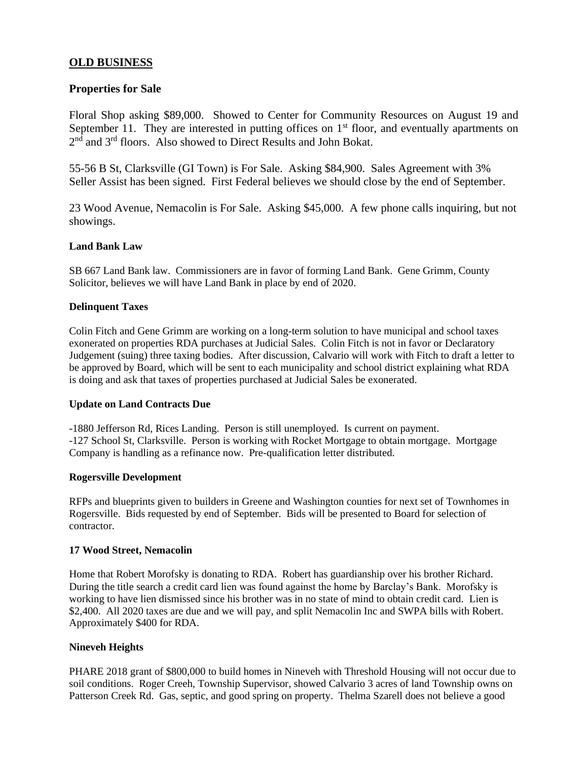# **OLD BUSINESS**

#### **Properties for Sale**

Floral Shop asking \$89,000. Showed to Center for Community Resources on August 19 and September 11. They are interested in putting offices on  $1<sup>st</sup>$  floor, and eventually apartments on 2<sup>nd</sup> and 3<sup>rd</sup> floors. Also showed to Direct Results and John Bokat.

55-56 B St, Clarksville (GI Town) is For Sale. Asking \$84,900. Sales Agreement with 3% Seller Assist has been signed. First Federal believes we should close by the end of September.

23 Wood Avenue, Nemacolin is For Sale. Asking \$45,000. A few phone calls inquiring, but not showings.

#### **Land Bank Law**

SB 667 Land Bank law. Commissioners are in favor of forming Land Bank. Gene Grimm, County Solicitor, believes we will have Land Bank in place by end of 2020.

#### **Delinquent Taxes**

Colin Fitch and Gene Grimm are working on a long-term solution to have municipal and school taxes exonerated on properties RDA purchases at Judicial Sales. Colin Fitch is not in favor or Declaratory Judgement (suing) three taxing bodies. After discussion, Calvario will work with Fitch to draft a letter to be approved by Board, which will be sent to each municipality and school district explaining what RDA is doing and ask that taxes of properties purchased at Judicial Sales be exonerated.

#### **Update on Land Contracts Due**

-1880 Jefferson Rd, Rices Landing. Person is still unemployed. Is current on payment. -127 School St, Clarksville. Person is working with Rocket Mortgage to obtain mortgage. Mortgage Company is handling as a refinance now. Pre-qualification letter distributed.

#### **Rogersville Development**

RFPs and blueprints given to builders in Greene and Washington counties for next set of Townhomes in Rogersville. Bids requested by end of September. Bids will be presented to Board for selection of contractor.

#### **17 Wood Street, Nemacolin**

Home that Robert Morofsky is donating to RDA. Robert has guardianship over his brother Richard. During the title search a credit card lien was found against the home by Barclay's Bank. Morofsky is working to have lien dismissed since his brother was in no state of mind to obtain credit card. Lien is \$2,400. All 2020 taxes are due and we will pay, and split Nemacolin Inc and SWPA bills with Robert. Approximately \$400 for RDA.

#### **Nineveh Heights**

PHARE 2018 grant of \$800,000 to build homes in Nineveh with Threshold Housing will not occur due to soil conditions. Roger Creeh, Township Supervisor, showed Calvario 3 acres of land Township owns on Patterson Creek Rd. Gas, septic, and good spring on property. Thelma Szarell does not believe a good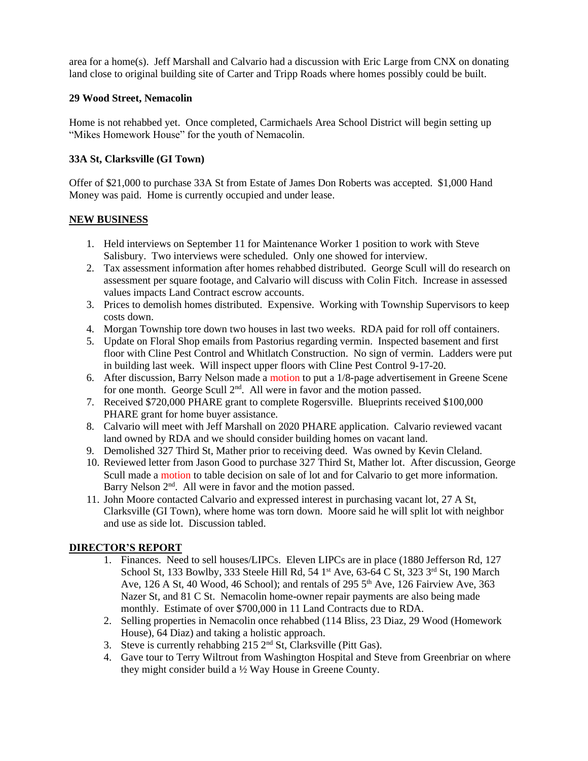area for a home(s). Jeff Marshall and Calvario had a discussion with Eric Large from CNX on donating land close to original building site of Carter and Tripp Roads where homes possibly could be built.

# **29 Wood Street, Nemacolin**

Home is not rehabbed yet. Once completed, Carmichaels Area School District will begin setting up "Mikes Homework House" for the youth of Nemacolin.

# **33A St, Clarksville (GI Town)**

Offer of \$21,000 to purchase 33A St from Estate of James Don Roberts was accepted. \$1,000 Hand Money was paid. Home is currently occupied and under lease.

### **NEW BUSINESS**

- 1. Held interviews on September 11 for Maintenance Worker 1 position to work with Steve Salisbury. Two interviews were scheduled. Only one showed for interview.
- 2. Tax assessment information after homes rehabbed distributed. George Scull will do research on assessment per square footage, and Calvario will discuss with Colin Fitch. Increase in assessed values impacts Land Contract escrow accounts.
- 3. Prices to demolish homes distributed. Expensive. Working with Township Supervisors to keep costs down.
- 4. Morgan Township tore down two houses in last two weeks. RDA paid for roll off containers.
- 5. Update on Floral Shop emails from Pastorius regarding vermin. Inspected basement and first floor with Cline Pest Control and Whitlatch Construction. No sign of vermin. Ladders were put in building last week. Will inspect upper floors with Cline Pest Control 9-17-20.
- 6. After discussion, Barry Nelson made a motion to put a 1/8-page advertisement in Greene Scene for one month. George Scull 2<sup>nd</sup>. All were in favor and the motion passed.
- 7. Received \$720,000 PHARE grant to complete Rogersville. Blueprints received \$100,000 PHARE grant for home buyer assistance.
- 8. Calvario will meet with Jeff Marshall on 2020 PHARE application. Calvario reviewed vacant land owned by RDA and we should consider building homes on vacant land.
- 9. Demolished 327 Third St, Mather prior to receiving deed. Was owned by Kevin Cleland.
- 10. Reviewed letter from Jason Good to purchase 327 Third St, Mather lot. After discussion, George Scull made a motion to table decision on sale of lot and for Calvario to get more information. Barry Nelson  $2<sup>nd</sup>$ . All were in favor and the motion passed.
- 11. John Moore contacted Calvario and expressed interest in purchasing vacant lot, 27 A St, Clarksville (GI Town), where home was torn down. Moore said he will split lot with neighbor and use as side lot. Discussion tabled.

# **DIRECTOR'S REPORT**

- 1. Finances. Need to sell houses/LIPCs. Eleven LIPCs are in place (1880 Jefferson Rd, 127 School St, 133 Bowlby, 333 Steele Hill Rd, 54 1<sup>st</sup> Ave, 63-64 C St, 323 3<sup>rd</sup> St, 190 March Ave, 126 A St, 40 Wood, 46 School); and rentals of 295  $5<sup>th</sup>$  Ave, 126 Fairview Ave, 363 Nazer St, and 81 C St. Nemacolin home-owner repair payments are also being made monthly. Estimate of over \$700,000 in 11 Land Contracts due to RDA.
- 2. Selling properties in Nemacolin once rehabbed (114 Bliss, 23 Diaz, 29 Wood (Homework House), 64 Diaz) and taking a holistic approach.
- 3. Steve is currently rehabbing 215  $2<sup>nd</sup>$  St, Clarksville (Pitt Gas).
- 4. Gave tour to Terry Wiltrout from Washington Hospital and Steve from Greenbriar on where they might consider build a ½ Way House in Greene County.